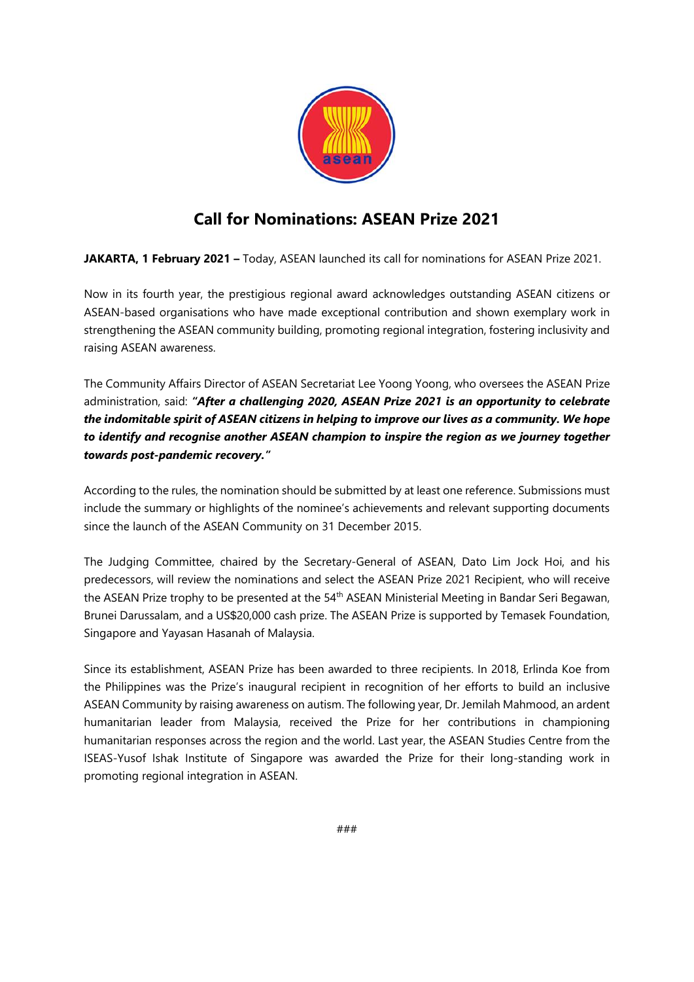

# **Call for Nominations: ASEAN Prize 2021**

**JAKARTA, 1 February 2021 –** Today, ASEAN launched its call for nominations for ASEAN Prize 2021.

Now in its fourth year, the prestigious regional award acknowledges outstanding ASEAN citizens or ASEAN-based organisations who have made exceptional contribution and shown exemplary work in strengthening the ASEAN community building, promoting regional integration, fostering inclusivity and raising ASEAN awareness.

The Community Affairs Director of ASEAN Secretariat Lee Yoong Yoong, who oversees the ASEAN Prize administration, said: *"After a challenging 2020, ASEAN Prize 2021 is an opportunity to celebrate the indomitable spirit of ASEAN citizens in helping to improve our lives as a community. We hope to identify and recognise another ASEAN champion to inspire the region as we journey together towards post-pandemic recovery."*

According to the rules, the nomination should be submitted by at least one reference. Submissions must include the summary or highlights of the nominee's achievements and relevant supporting documents since the launch of the ASEAN Community on 31 December 2015.

The Judging Committee, chaired by the Secretary-General of ASEAN, Dato Lim Jock Hoi, and his predecessors, will review the nominations and select the ASEAN Prize 2021 Recipient, who will receive the ASEAN Prize trophy to be presented at the 54<sup>th</sup> ASEAN Ministerial Meeting in Bandar Seri Begawan, Brunei Darussalam, and a US\$20,000 cash prize. The ASEAN Prize is supported by Temasek Foundation, Singapore and Yayasan Hasanah of Malaysia.

Since its establishment, ASEAN Prize has been awarded to three recipients. In 2018, Erlinda Koe from the Philippines was the Prize's inaugural recipient in recognition of her efforts to build an inclusive ASEAN Community by raising awareness on autism. The following year, Dr. Jemilah Mahmood, an ardent humanitarian leader from Malaysia, received the Prize for her contributions in championing humanitarian responses across the region and the world. Last year, the ASEAN Studies Centre from the ISEAS-Yusof Ishak Institute of Singapore was awarded the Prize for their long-standing work in promoting regional integration in ASEAN.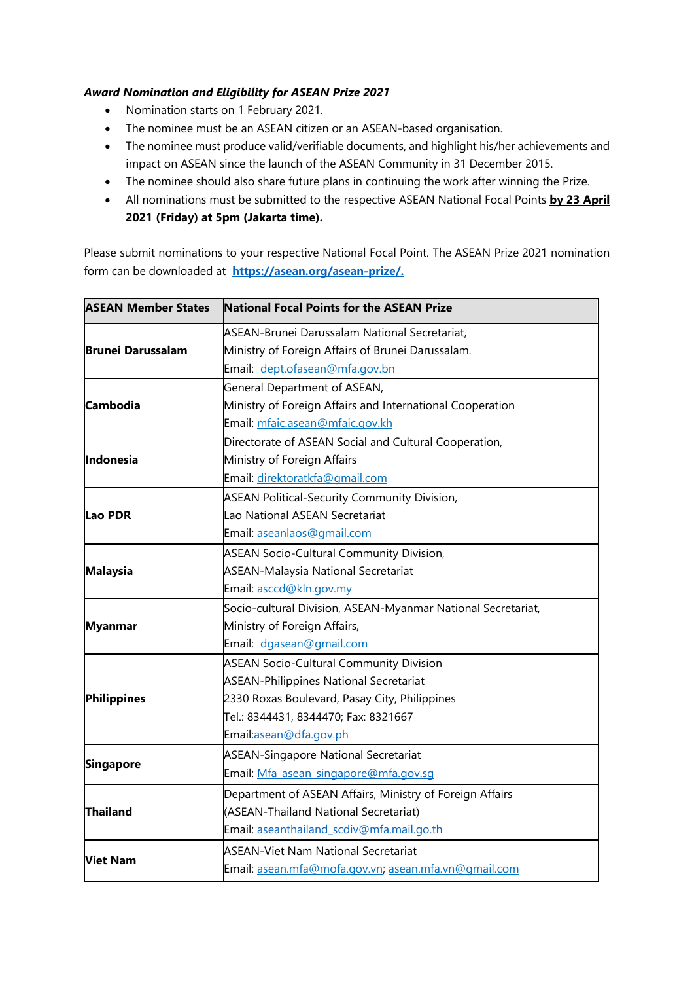## *Award Nomination and Eligibility for ASEAN Prize 2021*

- Nomination starts on 1 February 2021.
- The nominee must be an ASEAN citizen or an ASEAN-based organisation.
- The nominee must produce valid/verifiable documents, and highlight his/her achievements and impact on ASEAN since the launch of the ASEAN Community in 31 December 2015.
- The nominee should also share future plans in continuing the work after winning the Prize.
- All nominations must be submitted to the respective ASEAN National Focal Points **by 23 April 2021 (Friday) at 5pm (Jakarta time).**

Please submit nominations to your respective National Focal Point. The ASEAN Prize 2021 nomination form can be downloaded at **[https://asean.org/asean-prize/.](https://asean.org/asean-prize/)**

| <b>ASEAN Member States</b> | <b>National Focal Points for the ASEAN Prize</b>             |
|----------------------------|--------------------------------------------------------------|
| <b>Brunei Darussalam</b>   | ASEAN-Brunei Darussalam National Secretariat,                |
|                            | Ministry of Foreign Affairs of Brunei Darussalam.            |
|                            | Email: dept.ofasean@mfa.gov.bn                               |
| <b>Cambodia</b>            | General Department of ASEAN,                                 |
|                            | Ministry of Foreign Affairs and International Cooperation    |
|                            | Email: mfaic.asean@mfaic.gov.kh                              |
| Indonesia                  | Directorate of ASEAN Social and Cultural Cooperation,        |
|                            | Ministry of Foreign Affairs                                  |
|                            | Email: direktoratkfa@gmail.com                               |
| lLao PDR                   | <b>ASEAN Political-Security Community Division,</b>          |
|                            | Lao National ASEAN Secretariat                               |
|                            | Email: aseanlaos@gmail.com                                   |
| <b>Malaysia</b>            | <b>ASEAN Socio-Cultural Community Division,</b>              |
|                            | <b>ASEAN-Malaysia National Secretariat</b>                   |
|                            | Email: asccd@kln.gov.my                                      |
| <b>Myanmar</b>             | Socio-cultural Division, ASEAN-Myanmar National Secretariat, |
|                            | Ministry of Foreign Affairs,                                 |
|                            | Email: dgasean@gmail.com                                     |
| Philippines                | <b>ASEAN Socio-Cultural Community Division</b>               |
|                            | <b>ASEAN-Philippines National Secretariat</b>                |
|                            | 2330 Roxas Boulevard, Pasay City, Philippines                |
|                            | Tel.: 8344431, 8344470; Fax: 8321667                         |
|                            | Email:asean@dfa.gov.ph                                       |
| <b>Singapore</b>           | <b>ASEAN-Singapore National Secretariat</b>                  |
|                            | Email: Mfa asean singapore@mfa.gov.sq                        |
| <b>Thailand</b>            | Department of ASEAN Affairs, Ministry of Foreign Affairs     |
|                            | (ASEAN-Thailand National Secretariat)                        |
|                            | Email: aseanthailand_scdiv@mfa.mail.go.th                    |
| <b>Viet Nam</b>            | <b>ASEAN-Viet Nam National Secretariat</b>                   |
|                            | Email: asean.mfa@mofa.gov.vn; asean.mfa.vn@gmail.com         |